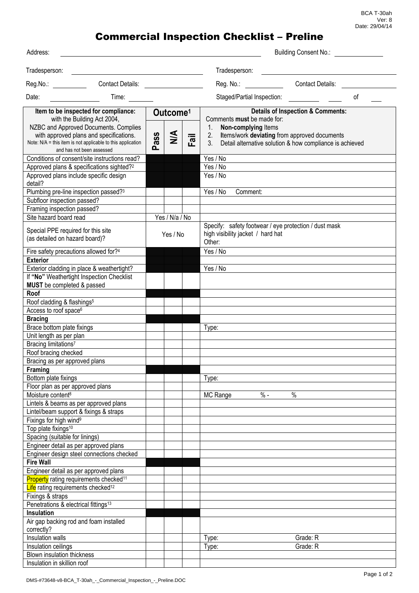## Commercial Inspection Checklist – Preline

| Address:                                                                                                                                                                                                                                            |          |                                |      |                                                                                                               | <b>Building Consent No.:</b>                                                                             |
|-----------------------------------------------------------------------------------------------------------------------------------------------------------------------------------------------------------------------------------------------------|----------|--------------------------------|------|---------------------------------------------------------------------------------------------------------------|----------------------------------------------------------------------------------------------------------|
| Tradesperson:<br><u> Alexandria de la contrada de la contrada de la contrada de la contrada de la contrada de la contrada de la c</u>                                                                                                               |          |                                |      | Tradesperson:                                                                                                 |                                                                                                          |
| Reg.No.: Contact Details:                                                                                                                                                                                                                           |          |                                |      | Reg. No.: <b>Example</b>                                                                                      | <b>Contact Details:</b>                                                                                  |
| Date:<br>Time:                                                                                                                                                                                                                                      |          |                                |      | Staged/Partial Inspection:                                                                                    | <sub>of</sub>                                                                                            |
| Item to be inspected for compliance:<br>with the Building Act 2004,<br>NZBC and Approved Documents. Complies<br>with approved plans and specifications.<br>Note: N/A = this item is not applicable to this application<br>and has not been assessed | Pass     | Outcome <sup>1</sup><br>$\leq$ | Fail | Comments must be made for:<br>1. Non-complying Items<br>2. Items/work deviating from approved documents<br>3. | <b>Details of Inspection &amp; Comments:</b><br>Detail alternative solution & how compliance is achieved |
| Conditions of consent/site instructions read?                                                                                                                                                                                                       |          |                                |      | Yes / No                                                                                                      |                                                                                                          |
| Approved plans & specifications sighted? <sup>2</sup>                                                                                                                                                                                               |          |                                |      | Yes / No                                                                                                      |                                                                                                          |
| Approved plans include specific design<br>detail?                                                                                                                                                                                                   |          |                                |      | Yes / No                                                                                                      |                                                                                                          |
| Plumbing pre-line inspection passed? <sup>3</sup>                                                                                                                                                                                                   |          |                                |      | Yes / No<br>Comment:                                                                                          |                                                                                                          |
| Subfloor inspection passed?                                                                                                                                                                                                                         |          |                                |      |                                                                                                               |                                                                                                          |
| Framing inspection passed?                                                                                                                                                                                                                          |          |                                |      |                                                                                                               |                                                                                                          |
| Site hazard board read                                                                                                                                                                                                                              |          | Yes / N/a / No                 |      |                                                                                                               |                                                                                                          |
| Special PPE required for this site<br>(as detailed on hazard board)?                                                                                                                                                                                | Yes / No |                                |      | Specify: safety footwear / eye protection / dust mask<br>high visibility jacket / hard hat<br>Other:          |                                                                                                          |
| Fire safety precautions allowed for?4                                                                                                                                                                                                               |          |                                |      | Yes / No                                                                                                      |                                                                                                          |
| <b>Exterior</b>                                                                                                                                                                                                                                     |          |                                |      |                                                                                                               |                                                                                                          |
| Exterior cladding in place & weathertight?                                                                                                                                                                                                          |          |                                |      | Yes / No                                                                                                      |                                                                                                          |
| If "No" Weathertight Inspection Checklist<br>MUST be completed & passed                                                                                                                                                                             |          |                                |      |                                                                                                               |                                                                                                          |
| Roof                                                                                                                                                                                                                                                |          |                                |      |                                                                                                               |                                                                                                          |
| Roof cladding & flashings <sup>5</sup>                                                                                                                                                                                                              |          |                                |      |                                                                                                               |                                                                                                          |
| Access to roof space <sup>6</sup>                                                                                                                                                                                                                   |          |                                |      |                                                                                                               |                                                                                                          |
| <b>Bracing</b>                                                                                                                                                                                                                                      |          |                                |      |                                                                                                               |                                                                                                          |
| Brace bottom plate fixings                                                                                                                                                                                                                          |          |                                |      | Type:                                                                                                         |                                                                                                          |
| Unit length as per plan                                                                                                                                                                                                                             |          |                                |      |                                                                                                               |                                                                                                          |
| Bracing limitations <sup>7</sup>                                                                                                                                                                                                                    |          |                                |      |                                                                                                               |                                                                                                          |
| Roof bracing checked                                                                                                                                                                                                                                |          |                                |      |                                                                                                               |                                                                                                          |
| Bracing as per approved plans                                                                                                                                                                                                                       |          |                                |      |                                                                                                               |                                                                                                          |
| Framing                                                                                                                                                                                                                                             |          |                                |      |                                                                                                               |                                                                                                          |
| Bottom plate fixings                                                                                                                                                                                                                                |          |                                |      | Type:                                                                                                         |                                                                                                          |
| Floor plan as per approved plans                                                                                                                                                                                                                    |          |                                |      |                                                                                                               |                                                                                                          |
| Moisture content <sup>8</sup>                                                                                                                                                                                                                       |          |                                |      | $\%$ -<br>MC Range                                                                                            | $\%$                                                                                                     |
| Lintels & beams as per approved plans<br>Lintel/beam support & fixings & straps                                                                                                                                                                     |          |                                |      |                                                                                                               |                                                                                                          |
| Fixings for high wind <sup>9</sup>                                                                                                                                                                                                                  |          |                                |      |                                                                                                               |                                                                                                          |
| Top plate fixings <sup>10</sup>                                                                                                                                                                                                                     |          |                                |      |                                                                                                               |                                                                                                          |
| Spacing (suitable for linings)                                                                                                                                                                                                                      |          |                                |      |                                                                                                               |                                                                                                          |
| Engineer detail as per approved plans                                                                                                                                                                                                               |          |                                |      |                                                                                                               |                                                                                                          |
| Engineer design steel connections checked                                                                                                                                                                                                           |          |                                |      |                                                                                                               |                                                                                                          |
| <b>Fire Wall</b>                                                                                                                                                                                                                                    |          |                                |      |                                                                                                               |                                                                                                          |
| Engineer detail as per approved plans                                                                                                                                                                                                               |          |                                |      |                                                                                                               |                                                                                                          |
| <b>Property</b> rating requirements checked <sup>11</sup>                                                                                                                                                                                           |          |                                |      |                                                                                                               |                                                                                                          |
| Life rating requirements checked <sup>12</sup>                                                                                                                                                                                                      |          |                                |      |                                                                                                               |                                                                                                          |
| Fixings & straps                                                                                                                                                                                                                                    |          |                                |      |                                                                                                               |                                                                                                          |
| Penetrations & electrical fittings <sup>13</sup>                                                                                                                                                                                                    |          |                                |      |                                                                                                               |                                                                                                          |
| Insulation                                                                                                                                                                                                                                          |          |                                |      |                                                                                                               |                                                                                                          |
| Air gap backing rod and foam installed<br>correctly?                                                                                                                                                                                                |          |                                |      |                                                                                                               |                                                                                                          |
| Insulation walls                                                                                                                                                                                                                                    |          |                                |      | Type:                                                                                                         | Grade: R                                                                                                 |
| Insulation ceilings                                                                                                                                                                                                                                 |          |                                |      | Type:                                                                                                         | Grade: R                                                                                                 |
| Blown insulation thickness                                                                                                                                                                                                                          |          |                                |      |                                                                                                               |                                                                                                          |
| Insulation in skillion roof                                                                                                                                                                                                                         |          |                                |      |                                                                                                               |                                                                                                          |